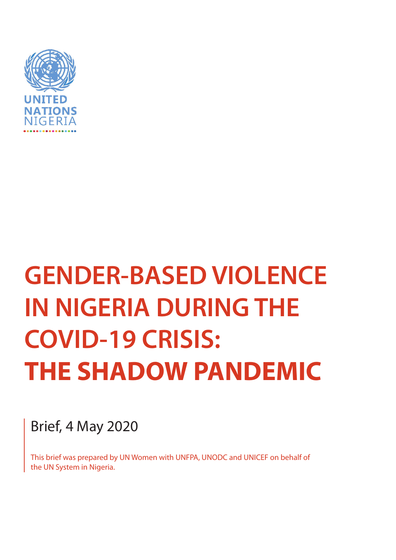

# **GENDER-BASED VIOLENCE IN NIGERIA DURING THE COVID-19 CRISIS: THE SHADOW PANDEMIC**

Brief, 4 May 2020

This brief was prepared by UN Women with UNFPA, UNODC and UNICEF on behalf of the UN System in Nigeria.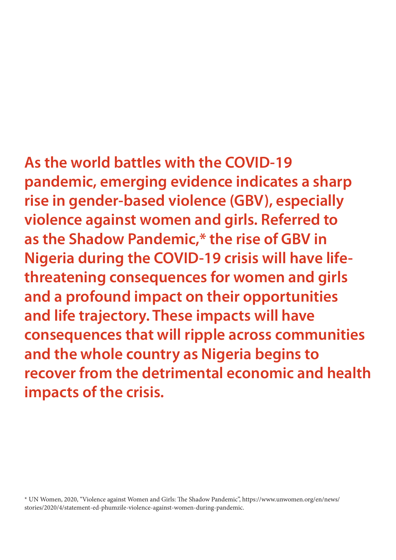**As the world battles with the COVID-19 pandemic, emerging evidence indicates a sharp rise in gender-based violence (GBV), especially violence against women and girls. Referred to as the Shadow Pandemic,\* the rise of GBV in Nigeria during the COVID-19 crisis will have lifethreatening consequences for women and girls and a profound impact on their opportunities and life trajectory. These impacts will have consequences that will ripple across communities and the whole country as Nigeria begins to recover from the detrimental economic and health impacts of the crisis.**

\* UN Women, 2020, "Violence against Women and Girls: The Shadow Pandemic", https://www.unwomen.org/en/news/ stories/2020/4/statement-ed-phumzile-violence-against-women-during-pandemic.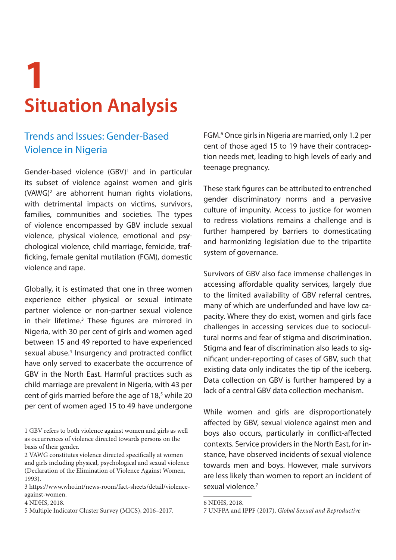## **1 Situation Analysis**

### Trends and Issues: Gender-Based Violence in Nigeria

Gender-based violence  $(GBV)^1$  and in particular its subset of violence against women and girls (VAWG)2 are abhorrent human rights violations, with detrimental impacts on victims, survivors, families, communities and societies. The types of violence encompassed by GBV include sexual violence, physical violence, emotional and psychological violence, child marriage, femicide, trafficking, female genital mutilation (FGM), domestic violence and rape.

Globally, it is estimated that one in three women experience either physical or sexual intimate partner violence or non-partner sexual violence in their lifetime.<sup>3</sup> These figures are mirrored in Nigeria, with 30 per cent of girls and women aged between 15 and 49 reported to have experienced sexual abuse.<sup>4</sup> Insurgency and protracted conflict have only served to exacerbate the occurrence of GBV in the North East. Harmful practices such as child marriage are prevalent in Nigeria, with 43 per cent of girls married before the age of 18,<sup>5</sup> while 20 per cent of women aged 15 to 49 have undergone

FGM.6 Once girls in Nigeria are married, only 1.2 per cent of those aged 15 to 19 have their contraception needs met, leading to high levels of early and teenage pregnancy.

These stark figures can be attributed to entrenched gender discriminatory norms and a pervasive culture of impunity. Access to justice for women to redress violations remains a challenge and is further hampered by barriers to domesticating and harmonizing legislation due to the tripartite system of governance.

Survivors of GBV also face immense challenges in accessing affordable quality services, largely due to the limited availability of GBV referral centres, many of which are underfunded and have low capacity. Where they do exist, women and girls face challenges in accessing services due to sociocultural norms and fear of stigma and discrimination. Stigma and fear of discrimination also leads to significant under-reporting of cases of GBV, such that existing data only indicates the tip of the iceberg. Data collection on GBV is further hampered by a lack of a central GBV data collection mechanism.

While women and girls are disproportionately affected by GBV, sexual violence against men and boys also occurs, particularly in conflict-affected contexts. Service providers in the North East, for instance, have observed incidents of sexual violence towards men and boys. However, male survivors are less likely than women to report an incident of sexual violence.<sup>7</sup>

<sup>1</sup> GBV refers to both violence against women and girls as well as occurrences of violence directed towards persons on the basis of their gender.

<sup>2</sup> VAWG constitutes violence directed specifically at women and girls including physical, psychological and sexual violence (Declaration of the Elimination of Violence Against Women, 1993).

<sup>3</sup> https://www.who.int/news-room/fact-sheets/detail/violenceagainst-women.

<sup>4</sup> NDHS, 2018.

<sup>5</sup> Multiple Indicator Cluster Survey (MICS), 2016–2017.

<sup>6</sup> NDHS, 2018.

<sup>7</sup> UNFPA and IPPF (2017), *Global Sexual and Reproductive*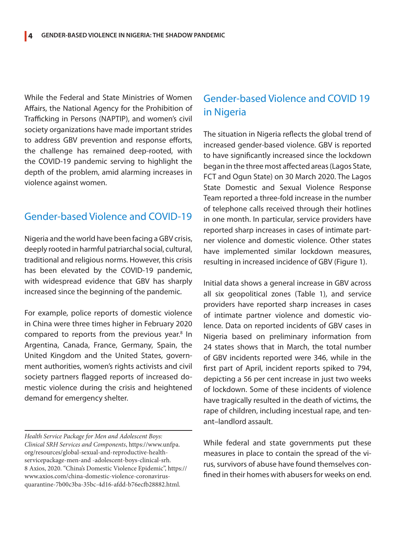While the Federal and State Ministries of Women Affairs, the National Agency for the Prohibition of Trafficking in Persons (NAPTIP), and women's civil society organizations have made important strides to address GBV prevention and response efforts, the challenge has remained deep-rooted, with the COVID-19 pandemic serving to highlight the depth of the problem, amid alarming increases in violence against women.

#### Gender-based Violence and COVID-19

Nigeria and the world have been facing a GBV crisis, deeply rooted in harmful patriarchal social, cultural, traditional and religious norms. However, this crisis has been elevated by the COVID-19 pandemic, with widespread evidence that GBV has sharply increased since the beginning of the pandemic.

For example, police reports of domestic violence in China were three times higher in February 2020 compared to reports from the previous year.<sup>8</sup> In Argentina, Canada, France, Germany, Spain, the United Kingdom and the United States, government authorities, women's rights activists and civil society partners flagged reports of increased domestic violence during the crisis and heightened demand for emergency shelter.

*Health Service Package for Men and Adolescent Boys: Clinical SRH Services and Components*, https://www.unfpa. org/resources/global-sexual-and-reproductive-healthservicepackage-men-and -adolescent-boys-clinical-srh. 8 Axios, 2020. "China's Domestic Violence Epidemic", https:// www.axios.com/china-domestic-violence-coronavirusquarantine-7b00c3ba-35bc-4d16-afdd-b76ecfb28882.html.

#### Gender-based Violence and COVID 19 in Nigeria

The situation in Nigeria reflects the global trend of increased gender-based violence. GBV is reported to have significantly increased since the lockdown began in the three most affected areas (Lagos State, FCT and Ogun State) on 30 March 2020. The Lagos State Domestic and Sexual Violence Response Team reported a three-fold increase in the number of telephone calls received through their hotlines in one month. In particular, service providers have reported sharp increases in cases of intimate partner violence and domestic violence. Other states have implemented similar lockdown measures, resulting in increased incidence of GBV (Figure 1).

Initial data shows a general increase in GBV across all six geopolitical zones (Table 1), and service providers have reported sharp increases in cases of intimate partner violence and domestic violence. Data on reported incidents of GBV cases in Nigeria based on preliminary information from 24 states shows that in March, the total number of GBV incidents reported were 346, while in the first part of April, incident reports spiked to 794, depicting a 56 per cent increase in just two weeks of lockdown. Some of these incidents of violence have tragically resulted in the death of victims, the rape of children, including incestual rape, and tenant–landlord assault.

While federal and state governments put these measures in place to contain the spread of the virus, survivors of abuse have found themselves confined in their homes with abusers for weeks on end.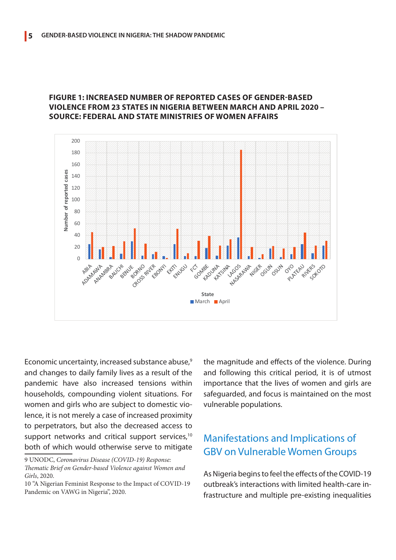

#### **Figure 1: Increased number of reported cases of gender-based violence from 23 states in Nigeria between March and April 2020 – Source: Federal and State Ministries of Women Affairs**

Economic uncertainty, increased substance abuse,<sup>9</sup> and changes to daily family lives as a result of the pandemic have also increased tensions within households, compounding violent situations. For women and girls who are subject to domestic violence, it is not merely a case of increased proximity to perpetrators, but also the decreased access to support networks and critical support services,<sup>10</sup> both of which would otherwise serve to mitigate

the magnitude and effects of the violence. During and following this critical period, it is of utmost importance that the lives of women and girls are safeguarded, and focus is maintained on the most vulnerable populations.

#### Manifestations and Implications of GBV on Vulnerable Women Groups

As Nigeria begins to feel the effects of the COVID-19 outbreak's interactions with limited health-care infrastructure and multiple pre-existing inequalities

<sup>9</sup> UNODC, *Coronavirus Disease (COVID-19) Response: Thematic Brief on Gender-based Violence against Women and Girls*, 2020.

<sup>10 &</sup>quot;A Nigerian Feminist Response to the Impact of COVID-19 Pandemic on VAWG in Nigeria", 2020.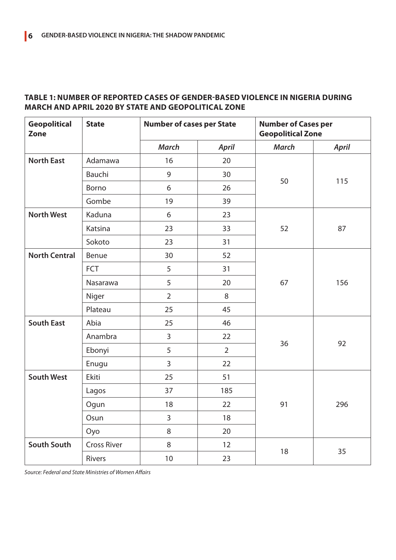#### **Table 1: Number of reported cases of gender-based violence in Nigeria during March and April 2020 by state and geopolitical zone**

| <b>Geopolitical</b><br><b>Zone</b> | <b>State</b>       | <b>Number of cases per State</b> |                | <b>Number of Cases per</b><br><b>Geopolitical Zone</b> |              |
|------------------------------------|--------------------|----------------------------------|----------------|--------------------------------------------------------|--------------|
|                                    |                    | <b>March</b>                     | <b>April</b>   | <b>March</b>                                           | <b>April</b> |
| <b>North East</b>                  | Adamawa            | 16                               | 20             | 50                                                     | 115          |
|                                    | Bauchi             | 9                                | 30             |                                                        |              |
|                                    | Borno              | 6                                | 26             |                                                        |              |
|                                    | Gombe              | 19                               | 39             |                                                        |              |
| <b>North West</b>                  | Kaduna             | 6                                | 23             | 52                                                     | 87           |
|                                    | Katsina            | 23                               | 33             |                                                        |              |
|                                    | Sokoto             | 23                               | 31             |                                                        |              |
| <b>North Central</b>               | Benue              | 30                               | 52             | 67                                                     | 156          |
|                                    | <b>FCT</b>         | 5                                | 31             |                                                        |              |
|                                    | Nasarawa           | 5                                | 20             |                                                        |              |
|                                    | Niger              | $\overline{2}$                   | 8              |                                                        |              |
|                                    | Plateau            | 25                               | 45             |                                                        |              |
| <b>South East</b>                  | Abia               | 25                               | 46             | 36                                                     | 92           |
|                                    | Anambra            | $\overline{3}$                   | 22             |                                                        |              |
|                                    | Ebonyi             | 5                                | $\overline{2}$ |                                                        |              |
|                                    | Enugu              | $\overline{3}$                   | 22             |                                                        |              |
| <b>South West</b>                  | Ekiti              | 25                               | 51             | 91                                                     | 296          |
|                                    | Lagos              | 37                               | 185            |                                                        |              |
|                                    | Ogun               | 18                               | 22             |                                                        |              |
|                                    | Osun               | $\overline{3}$                   | 18             |                                                        |              |
|                                    | Oyo                | 8                                | 20             |                                                        |              |
| <b>South South</b>                 | <b>Cross River</b> | 8                                | 12             | 18                                                     | 35           |
|                                    | Rivers             | 10                               | 23             |                                                        |              |

*Source: Federal and State Ministries of Women Affairs*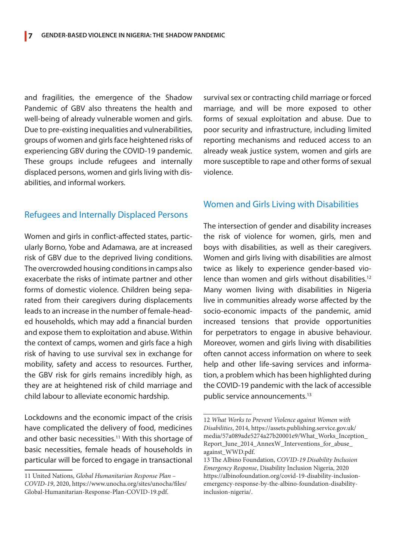and fragilities, the emergence of the Shadow Pandemic of GBV also threatens the health and well-being of already vulnerable women and girls. Due to pre-existing inequalities and vulnerabilities, groups of women and girls face heightened risks of experiencing GBV during the COVID-19 pandemic. These groups include refugees and internally displaced persons, women and girls living with disabilities, and informal workers.

#### Refugees and Internally Displaced Persons

Women and girls in conflict-affected states, particularly Borno, Yobe and Adamawa, are at increased risk of GBV due to the deprived living conditions. The overcrowded housing conditions in camps also exacerbate the risks of intimate partner and other forms of domestic violence. Children being separated from their caregivers during displacements leads to an increase in the number of female-headed households, which may add a financial burden and expose them to exploitation and abuse. Within the context of camps, women and girls face a high risk of having to use survival sex in exchange for mobility, safety and access to resources. Further, the GBV risk for girls remains incredibly high, as they are at heightened risk of child marriage and child labour to alleviate economic hardship.

Lockdowns and the economic impact of the crisis have complicated the delivery of food, medicines and other basic necessities.<sup>11</sup> With this shortage of basic necessities, female heads of households in particular will be forced to engage in transactional survival sex or contracting child marriage or forced marriage, and will be more exposed to other forms of sexual exploitation and abuse. Due to poor security and infrastructure, including limited reporting mechanisms and reduced access to an already weak justice system, women and girls are more susceptible to rape and other forms of sexual violence.

#### Women and Girls Living with Disabilities

The intersection of gender and disability increases the risk of violence for women, girls, men and boys with disabilities, as well as their caregivers. Women and girls living with disabilities are almost twice as likely to experience gender-based violence than women and girls without disabilities.<sup>12</sup> Many women living with disabilities in Nigeria live in communities already worse affected by the socio-economic impacts of the pandemic, amid increased tensions that provide opportunities for perpetrators to engage in abusive behaviour. Moreover, women and girls living with disabilities often cannot access information on where to seek help and other life-saving services and information, a problem which has been highlighted during the COVID-19 pandemic with the lack of accessible public service announcements.<sup>13</sup>

<sup>11</sup> United Nations, *Global Humanitarian Response Plan – COVID-19*, 2020, https://www.unocha.org/sites/unocha/files/ Global-Humanitarian-Response-Plan-COVID-19.pdf.

<sup>12</sup> *What Works to Prevent Violence against Women with Disabilities*, 2014, https://assets.publishing.service.gov.uk/ media/57a089ade5274a27b20001e9/What\_Works\_Inception\_ Report\_June\_2014\_AnnexW\_Interventions\_for\_abuse\_ against\_WWD.pdf.

<sup>13</sup> The Albino Foundation, *COVID-19 Disability Inclusion Emergency Response*, Disability Inclusion Nigeria, 2020 https://albinofoundation.org/covid-19-disability-inclusionemergency-response-by-the-albino-foundation-disabilityinclusion-nigeria/.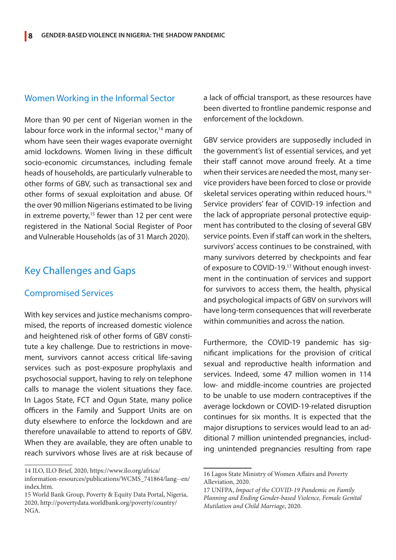#### Women Working in the Informal Sector

More than 90 per cent of Nigerian women in the labour force work in the informal sector,<sup>14</sup> many of whom have seen their wages evaporate overnight amid lockdowns. Women living in these difficult socio-economic circumstances, including female heads of households, are particularly vulnerable to other forms of GBV, such as transactional sex and other forms of sexual exploitation and abuse. Of the over 90 million Nigerians estimated to be living in extreme poverty,<sup>15</sup> fewer than 12 per cent were registered in the National Social Register of Poor and Vulnerable Households (as of 31 March 2020).

#### Key Challenges and Gaps

#### Compromised Services

With key services and justice mechanisms compromised, the reports of increased domestic violence and heightened risk of other forms of GBV constitute a key challenge. Due to restrictions in movement, survivors cannot access critical life-saving services such as post-exposure prophylaxis and psychosocial support, having to rely on telephone calls to manage the violent situations they face. In Lagos State, FCT and Ogun State, many police officers in the Family and Support Units are on duty elsewhere to enforce the lockdown and are therefore unavailable to attend to reports of GBV. When they are available, they are often unable to reach survivors whose lives are at risk because of a lack of official transport, as these resources have been diverted to frontline pandemic response and enforcement of the lockdown.

GBV service providers are supposedly included in the government's list of essential services, and yet their staff cannot move around freely. At a time when their services are needed the most, many service providers have been forced to close or provide skeletal services operating within reduced hours.<sup>16</sup> Service providers' fear of COVID-19 infection and the lack of appropriate personal protective equipment has contributed to the closing of several GBV service points. Even if staff can work in the shelters, survivors' access continues to be constrained, with many survivors deterred by checkpoints and fear of exposure to COVID-19.17 Without enough investment in the continuation of services and support for survivors to access them, the health, physical and psychological impacts of GBV on survivors will have long-term consequences that will reverberate within communities and across the nation.

Furthermore, the COVID-19 pandemic has significant implications for the provision of critical sexual and reproductive health information and services. Indeed, some 47 million women in 114 low- and middle-income countries are projected to be unable to use modern contraceptives if the average lockdown or COVID-19-related disruption continues for six months. It is expected that the major disruptions to services would lead to an additional 7 million unintended pregnancies, including unintended pregnancies resulting from rape

<sup>14</sup> ILO, ILO Brief, 2020, https://www.ilo.org/africa/ information-resources/publications/WCMS\_741864/lang--en/ index.htm.

<sup>15</sup> World Bank Group, Poverty & Equity Data Portal, Nigeria, 2020, http://povertydata.worldbank.org/poverty/country/ NGA.

<sup>16</sup> Lagos State Ministry of Women Affairs and Poverty Alleviation, 2020.

<sup>17</sup> UNFPA, *Impact of the COVID-19 Pandemic on Family Planning and Ending Gender-based Violence, Female Genital Mutilation and Child Marriage*, 2020.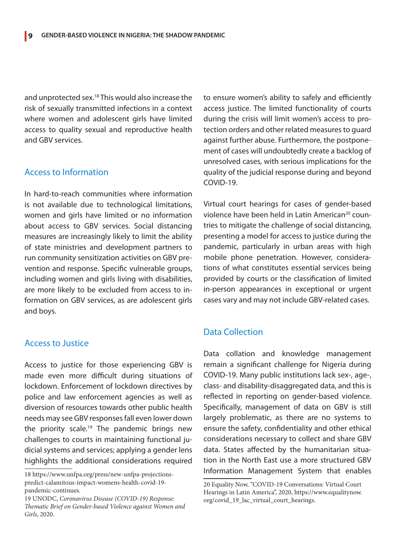and unprotected sex.18 This would also increase the risk of sexually transmitted infections in a context where women and adolescent girls have limited access to quality sexual and reproductive health and GBV services.

#### Access to Information

In hard-to-reach communities where information is not available due to technological limitations, women and girls have limited or no information about access to GBV services. Social distancing measures are increasingly likely to limit the ability of state ministries and development partners to run community sensitization activities on GBV prevention and response. Specific vulnerable groups, including women and girls living with disabilities, are more likely to be excluded from access to information on GBV services, as are adolescent girls and boys.

#### Access to Justice

Access to justice for those experiencing GBV is made even more difficult during situations of lockdown. Enforcement of lockdown directives by police and law enforcement agencies as well as diversion of resources towards other public health needs may see GBV responses fall even lower down the priority scale.<sup>19</sup> The pandemic brings new challenges to courts in maintaining functional judicial systems and services; applying a gender lens highlights the additional considerations required

to ensure women's ability to safely and efficiently access justice. The limited functionality of courts during the crisis will limit women's access to protection orders and other related measures to guard against further abuse. Furthermore, the postponement of cases will undoubtedly create a backlog of unresolved cases, with serious implications for the quality of the judicial response during and beyond COVID-19.

Virtual court hearings for cases of gender-based violence have been held in Latin American<sup>20</sup> countries to mitigate the challenge of social distancing, presenting a model for access to justice during the pandemic, particularly in urban areas with high mobile phone penetration. However, considerations of what constitutes essential services being provided by courts or the classification of limited in-person appearances in exceptional or urgent cases vary and may not include GBV-related cases.

#### Data Collection

Data collation and knowledge management remain a significant challenge for Nigeria during COVID-19. Many public institutions lack sex-, age-, class- and disability-disaggregated data, and this is reflected in reporting on gender-based violence. Specifically, management of data on GBV is still largely problematic, as there are no systems to ensure the safety, confidentiality and other ethical considerations necessary to collect and share GBV data. States affected by the humanitarian situation in the North East use a more structured GBV Information Management System that enables

<sup>18</sup> https://www.unfpa.org/press/new-unfpa-projectionspredict-calamitous-impact-womens-health-covid-19 pandemic-continues.

<sup>19</sup> UNODC, *Coronavirus Disease (COVID-19) Response: Thematic Brief on Gender-based Violence against Women and Girls*, 2020.

<sup>20</sup> Equality Now, "COVID-19 Conversations: Virtual Court Hearings in Latin America", 2020, https://www.equalitynow. org/covid\_19\_lac\_virtual\_court\_hearings.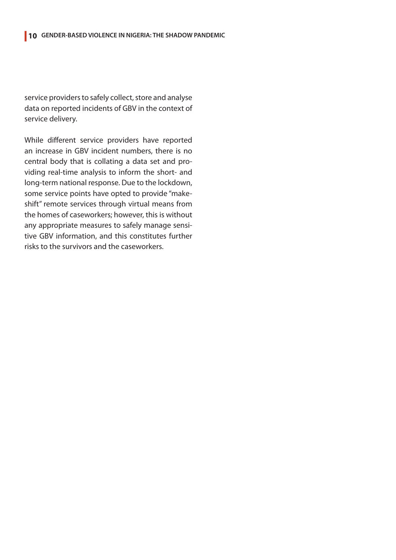service providers to safely collect, store and analyse data on reported incidents of GBV in the context of service delivery.

While different service providers have reported an increase in GBV incident numbers, there is no central body that is collating a data set and providing real-time analysis to inform the short- and long-term national response. Due to the lockdown, some service points have opted to provide "makeshift" remote services through virtual means from the homes of caseworkers; however, this is without any appropriate measures to safely manage sensitive GBV information, and this constitutes further risks to the survivors and the caseworkers.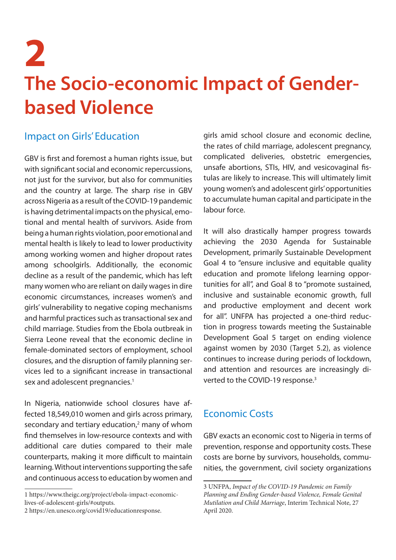## **11 GENDER-BASED VIOLENCE IN NIGERIA: THE SHADOW PANDEMIC 2 The Socio-economic Impact of Genderbased Violence**

#### Impact on Girls' Education

GBV is first and foremost a human rights issue, but with significant social and economic repercussions, not just for the survivor, but also for communities and the country at large. The sharp rise in GBV across Nigeria as a result of the COVID-19 pandemic is having detrimental impacts on the physical, emotional and mental health of survivors. Aside from being a human rights violation, poor emotional and mental health is likely to lead to lower productivity among working women and higher dropout rates among schoolgirls. Additionally, the economic decline as a result of the pandemic, which has left many women who are reliant on daily wages in dire economic circumstances, increases women's and girls' vulnerability to negative coping mechanisms and harmful practices such as transactional sex and child marriage. Studies from the Ebola outbreak in Sierra Leone reveal that the economic decline in female-dominated sectors of employment, school closures, and the disruption of family planning services led to a significant increase in transactional sex and adolescent pregnancies.<sup>1</sup>

In Nigeria, nationwide school closures have affected 18,549,010 women and girls across primary, secondary and tertiary education, $<sup>2</sup>$  many of whom</sup> find themselves in low-resource contexts and with additional care duties compared to their male counterparts, making it more difficult to maintain learning. Without interventions supporting the safe and continuous access to education by women and girls amid school closure and economic decline, the rates of child marriage, adolescent pregnancy, complicated deliveries, obstetric emergencies, unsafe abortions, STIs, HIV, and vesicovaginal fistulas are likely to increase. This will ultimately limit young women's and adolescent girls' opportunities to accumulate human capital and participate in the labour force.

It will also drastically hamper progress towards achieving the 2030 Agenda for Sustainable Development, primarily Sustainable Development Goal 4 to "ensure inclusive and equitable quality education and promote lifelong learning opportunities for all", and Goal 8 to "promote sustained, inclusive and sustainable economic growth, full and productive employment and decent work for all". UNFPA has projected a one-third reduction in progress towards meeting the Sustainable Development Goal 5 target on ending violence against women by 2030 (Target 5.2), as violence continues to increase during periods of lockdown, and attention and resources are increasingly diverted to the COVID-19 response.<sup>3</sup>

### Economic Costs

GBV exacts an economic cost to Nigeria in terms of prevention, response and opportunity costs. These costs are borne by survivors, households, communities, the government, civil society organizations

<sup>1</sup> https://www.theigc.org/project/ebola-impact-economiclives-of-adolescent-girls/#outputs.

<sup>2</sup> https://en.unesco.org/covid19/educationresponse.

<sup>3</sup> UNFPA, *Impact of the COVID-19 Pandemic on Family Planning and Ending Gender-based Violence, Female Genital Mutilation and Child Marriage*, Interim Technical Note, 27 April 2020.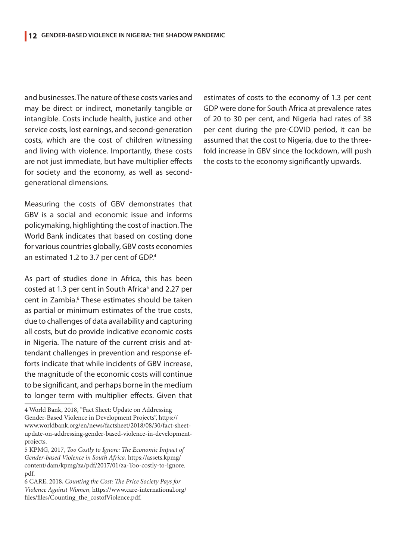and businesses. The nature of these costs varies and may be direct or indirect, monetarily tangible or intangible. Costs include health, justice and other service costs, lost earnings, and second-generation costs, which are the cost of children witnessing and living with violence. Importantly, these costs are not just immediate, but have multiplier effects for society and the economy, as well as secondgenerational dimensions.

Measuring the costs of GBV demonstrates that GBV is a social and economic issue and informs policymaking, highlighting the cost of inaction. The World Bank indicates that based on costing done for various countries globally, GBV costs economies an estimated 1.2 to 3.7 per cent of GDP.4

As part of studies done in Africa, this has been costed at 1.3 per cent in South Africa<sup>5</sup> and 2.27 per cent in Zambia.<sup>6</sup> These estimates should be taken as partial or minimum estimates of the true costs, due to challenges of data availability and capturing all costs, but do provide indicative economic costs in Nigeria. The nature of the current crisis and attendant challenges in prevention and response efforts indicate that while incidents of GBV increase, the magnitude of the economic costs will continue to be significant, and perhaps borne in the medium to longer term with multiplier effects. Given that

estimates of costs to the economy of 1.3 per cent GDP were done for South Africa at prevalence rates of 20 to 30 per cent, and Nigeria had rates of 38 per cent during the pre-COVID period, it can be assumed that the cost to Nigeria, due to the threefold increase in GBV since the lockdown, will push the costs to the economy significantly upwards.

<sup>4</sup> World Bank, 2018, "Fact Sheet: Update on Addressing Gender-Based Violence in Development Projects", https:// www.worldbank.org/en/news/factsheet/2018/08/30/fact-sheetupdate-on-addressing-gender-based-violence-in-developmentprojects.

<sup>5</sup> KPMG, 2017, *Too Costly to Ignore: The Economic Impact of Gender-based Violence in South Africa*, https://assets.kpmg/ content/dam/kpmg/za/pdf/2017/01/za-Too-costly-to-ignore. pdf.

<sup>6</sup> CARE, 2018, *Counting the Cost: The Price Society Pays for Violence Against Women*, https://www.care-international.org/ files/files/Counting\_the\_costofViolence.pdf.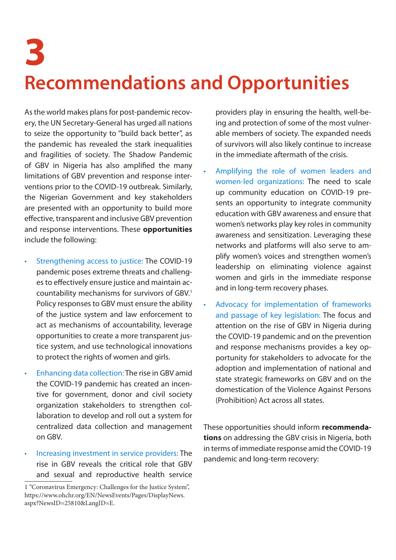### **13 GENDER-BASED VIOLENCE IN NIGERIA: THE SHADOW PANDEMIC 3 Recommendations and Opportunities**

As the world makes plans for post-pandemic recovery, the UN Secretary-General has urged all nations to seize the opportunity to "build back better", as the pandemic has revealed the stark inequalities and fragilities of society. The Shadow Pandemic of GBV in Nigeria has also amplified the many limitations of GBV prevention and response interventions prior to the COVID-19 outbreak. Similarly, the Nigerian Government and key stakeholders are presented with an opportunity to build more effective, transparent and inclusive GBV prevention and response interventions. These **opportunities**  include the following:

- Strengthening access to justice: The COVID-19 pandemic poses extreme threats and challenges to effectively ensure justice and maintain accountability mechanisms for survivors of GBV.1 Policy responses to GBV must ensure the ability of the justice system and law enforcement to act as mechanisms of accountability, leverage opportunities to create a more transparent justice system, and use technological innovations to protect the rights of women and girls.
- Enhancing data collection: The rise in GBV amid the COVID-19 pandemic has created an incentive for government, donor and civil society organization stakeholders to strengthen collaboration to develop and roll out a system for centralized data collection and management on GBV.
- Increasing investment in service providers: The rise in GBV reveals the critical role that GBV and sexual and reproductive health service

providers play in ensuring the health, well-being and protection of some of the most vulnerable members of society. The expanded needs of survivors will also likely continue to increase in the immediate aftermath of the crisis.

- Amplifying the role of women leaders and women-led organizations: The need to scale up community education on COVID-19 presents an opportunity to integrate community education with GBV awareness and ensure that women's networks play key roles in community awareness and sensitization. Leveraging these networks and platforms will also serve to amplify women's voices and strengthen women's leadership on eliminating violence against women and girls in the immediate response and in long-term recovery phases.
- Advocacy for implementation of frameworks and passage of key legislation: The focus and attention on the rise of GBV in Nigeria during the COVID-19 pandemic and on the prevention and response mechanisms provides a key opportunity for stakeholders to advocate for the adoption and implementation of national and state strategic frameworks on GBV and on the domestication of the Violence Against Persons (Prohibition) Act across all states.

These opportunities should inform **recommendations** on addressing the GBV crisis in Nigeria, both in terms of immediate response amid the COVID-19 pandemic and long-term recovery:

<sup>1 &</sup>quot;Coronavirus Emergency: Challenges for the Justice System", https://www.ohchr.org/EN/NewsEvents/Pages/DisplayNews. aspx?NewsID=25810&LangID=E.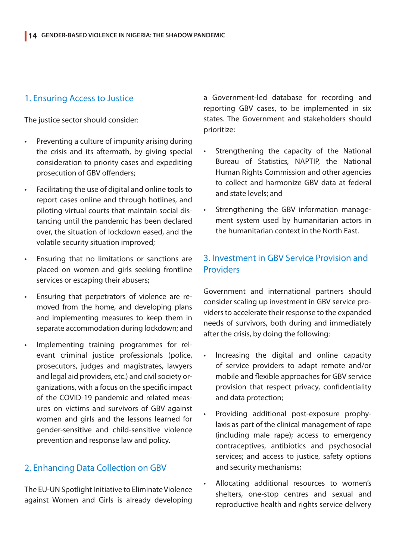#### 1. Ensuring Access to Justice

The justice sector should consider:

- Preventing a culture of impunity arising during the crisis and its aftermath, by giving special consideration to priority cases and expediting prosecution of GBV offenders;
- Facilitating the use of digital and online tools to report cases online and through hotlines, and piloting virtual courts that maintain social distancing until the pandemic has been declared over, the situation of lockdown eased, and the volatile security situation improved;
- Ensuring that no limitations or sanctions are placed on women and girls seeking frontline services or escaping their abusers;
- Ensuring that perpetrators of violence are removed from the home, and developing plans and implementing measures to keep them in separate accommodation during lockdown; and
- Implementing training programmes for relevant criminal justice professionals (police, prosecutors, judges and magistrates, lawyers and legal aid providers, etc.) and civil society organizations, with a focus on the specific impact of the COVID-19 pandemic and related measures on victims and survivors of GBV against women and girls and the lessons learned for gender-sensitive and child-sensitive violence prevention and response law and policy.

#### 2. Enhancing Data Collection on GBV

The EU-UN Spotlight Initiative to Eliminate Violence against Women and Girls is already developing a Government-led database for recording and reporting GBV cases, to be implemented in six states. The Government and stakeholders should prioritize:

- Strengthening the capacity of the National Bureau of Statistics, NAPTIP, the National Human Rights Commission and other agencies to collect and harmonize GBV data at federal and state levels; and
- Strengthening the GBV information management system used by humanitarian actors in the humanitarian context in the North East.

#### 3. Investment in GBV Service Provision and **Providers**

Government and international partners should consider scaling up investment in GBV service providers to accelerate their response to the expanded needs of survivors, both during and immediately after the crisis, by doing the following:

- • Increasing the digital and online capacity of service providers to adapt remote and/or mobile and flexible approaches for GBV service provision that respect privacy, confidentiality and data protection;
- Providing additional post-exposure prophylaxis as part of the clinical management of rape (including male rape); access to emergency contraceptives, antibiotics and psychosocial services; and access to justice, safety options and security mechanisms;
- Allocating additional resources to women's shelters, one-stop centres and sexual and reproductive health and rights service delivery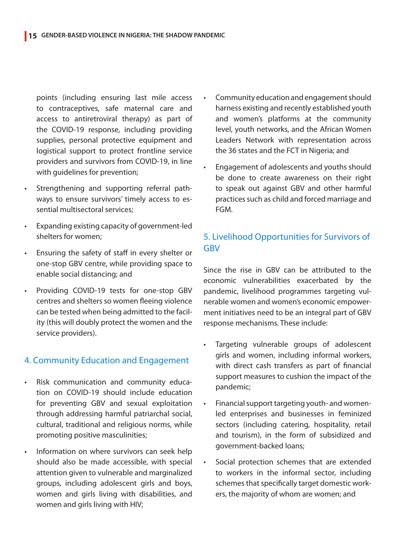points (including ensuring last mile access to contraceptives, safe maternal care and access to antiretroviral therapy) as part of the COVID-19 response, including providing supplies, personal protective equipment and logistical support to protect frontline service providers and survivors from COVID-19, in line with quidelines for prevention:

- Strengthening and supporting referral pathways to ensure survivors' timely access to essential multisectoral services;
- Expanding existing capacity of government-led shelters for women;
- Ensuring the safety of staff in every shelter or one-stop GBV centre, while providing space to enable social distancing; and
- Providing COVID-19 tests for one-stop GBV centres and shelters so women fleeing violence can be tested when being admitted to the facility (this will doubly protect the women and the service providers).

#### 4. Community Education and Engagement

- Risk communication and community education on COVID-19 should include education for preventing GBV and sexual exploitation through addressing harmful patriarchal social, cultural, traditional and religious norms, while promoting positive masculinities;
- Information on where survivors can seek help should also be made accessible, with special attention given to vulnerable and marginalized groups, including adolescent girls and boys, women and girls living with disabilities, and women and girls living with HIV;
- Community education and engagement should harness existing and recently established youth and women's platforms at the community level, youth networks, and the African Women Leaders Network with representation across the 36 states and the FCT in Nigeria; and
- Engagement of adolescents and youths should be done to create awareness on their right to speak out against GBV and other harmful practices such as child and forced marriage and FGM.

#### 5. Livelihood Opportunities for Survivors of GBV

Since the rise in GBV can be attributed to the economic vulnerabilities exacerbated by the pandemic, livelihood programmes targeting vulnerable women and women's economic empowerment initiatives need to be an integral part of GBV response mechanisms. These include:

- Targeting vulnerable groups of adolescent girls and women, including informal workers, with direct cash transfers as part of financial support measures to cushion the impact of the pandemic;
- Financial support targeting youth- and womenled enterprises and businesses in feminized sectors (including catering, hospitality, retail and tourism), in the form of subsidized and government-backed loans;
- Social protection schemes that are extended to workers in the informal sector, including schemes that specifically target domestic workers, the majority of whom are women; and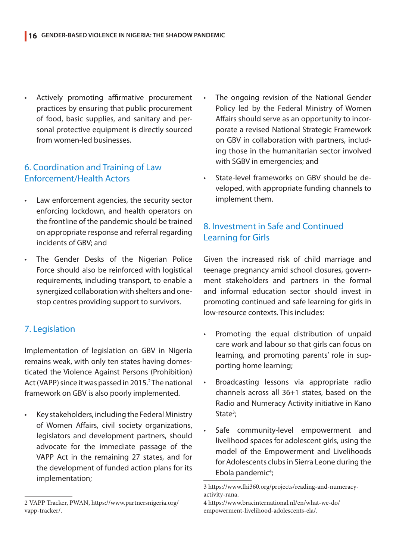Actively promoting affirmative procurement practices by ensuring that public procurement of food, basic supplies, and sanitary and personal protective equipment is directly sourced from women-led businesses.

#### 6. Coordination and Training of Law Enforcement/Health Actors

- Law enforcement agencies, the security sector enforcing lockdown, and health operators on the frontline of the pandemic should be trained on appropriate response and referral regarding incidents of GBV; and
- The Gender Desks of the Nigerian Police Force should also be reinforced with logistical requirements, including transport, to enable a synergized collaboration with shelters and onestop centres providing support to survivors.

#### 7. Legislation

Implementation of legislation on GBV in Nigeria remains weak, with only ten states having domesticated the Violence Against Persons (Prohibition) Act (VAPP) since it was passed in 2015.<sup>2</sup> The national framework on GBV is also poorly implemented.

Key stakeholders, including the Federal Ministry of Women Affairs, civil society organizations, legislators and development partners, should advocate for the immediate passage of the VAPP Act in the remaining 27 states, and for the development of funded action plans for its implementation;

- The ongoing revision of the National Gender Policy led by the Federal Ministry of Women Affairs should serve as an opportunity to incorporate a revised National Strategic Framework on GBV in collaboration with partners, including those in the humanitarian sector involved with SGBV in emergencies; and
- State-level frameworks on GBV should be developed, with appropriate funding channels to implement them.

#### 8. Investment in Safe and Continued Learning for Girls

Given the increased risk of child marriage and teenage pregnancy amid school closures, government stakeholders and partners in the formal and informal education sector should invest in promoting continued and safe learning for girls in low-resource contexts. This includes:

- • Promoting the equal distribution of unpaid care work and labour so that girls can focus on learning, and promoting parents' role in supporting home learning;
- Broadcasting lessons via appropriate radio channels across all 36+1 states, based on the Radio and Numeracy Activity initiative in Kano State<sup>3</sup>;
- Safe community-level empowerment and livelihood spaces for adolescent girls, using the model of the Empowerment and Livelihoods for Adolescents clubs in Sierra Leone during the Ebola pandemic<sup>4</sup>;

<sup>2</sup> VAPP Tracker, PWAN, https://www.partnersnigeria.org/ vapp-tracker/.

<sup>3</sup> https://www.fhi360.org/projects/reading-and-numeracyactivity-rana.

<sup>4</sup> https://www.bracinternational.nl/en/what-we-do/ empowerment-livelihood-adolescents-ela/.